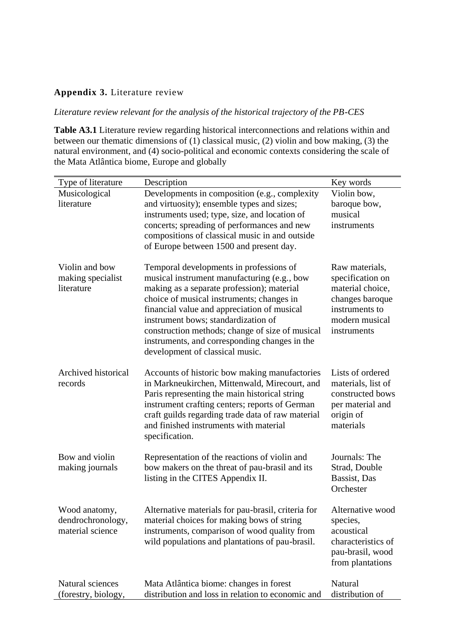## **Appendix 3.** Literature review

*Literature review relevant for the analysis of the historical trajectory of the PB-CES*

**Table A3.1** Literature review regarding historical interconnections and relations within and between our thematic dimensions of (1) classical music, (2) violin and bow making, (3) the natural environment, and (4) socio-political and economic contexts considering the scale of the Mata Atlântica biome, Europe and globally

| Type of literature                                     | Description                                                                                                                                                                                                                                                                                                                                                                                                    | Key words                                                                                                                    |
|--------------------------------------------------------|----------------------------------------------------------------------------------------------------------------------------------------------------------------------------------------------------------------------------------------------------------------------------------------------------------------------------------------------------------------------------------------------------------------|------------------------------------------------------------------------------------------------------------------------------|
| Musicological<br>literature                            | Developments in composition (e.g., complexity<br>and virtuosity); ensemble types and sizes;<br>instruments used; type, size, and location of<br>concerts; spreading of performances and new<br>compositions of classical music in and outside<br>of Europe between 1500 and present day.                                                                                                                       | Violin bow,<br>baroque bow,<br>musical<br>instruments                                                                        |
| Violin and bow<br>making specialist<br>literature      | Temporal developments in professions of<br>musical instrument manufacturing (e.g., bow<br>making as a separate profession); material<br>choice of musical instruments; changes in<br>financial value and appreciation of musical<br>instrument bows; standardization of<br>construction methods; change of size of musical<br>instruments, and corresponding changes in the<br>development of classical music. | Raw materials,<br>specification on<br>material choice,<br>changes baroque<br>instruments to<br>modern musical<br>instruments |
| Archived historical<br>records                         | Accounts of historic bow making manufactories<br>in Markneukirchen, Mittenwald, Mirecourt, and<br>Paris representing the main historical string<br>instrument crafting centers; reports of German<br>craft guilds regarding trade data of raw material<br>and finished instruments with material<br>specification.                                                                                             | Lists of ordered<br>materials, list of<br>constructed bows<br>per material and<br>origin of<br>materials                     |
| Bow and violin<br>making journals                      | Representation of the reactions of violin and<br>bow makers on the threat of pau-brasil and its<br>listing in the CITES Appendix II.                                                                                                                                                                                                                                                                           | Journals: The<br>Strad, Double<br>Bassist, Das<br>Orchester                                                                  |
| Wood anatomy,<br>dendrochronology,<br>material science | Alternative materials for pau-brasil, criteria for<br>material choices for making bows of string<br>instruments, comparison of wood quality from<br>wild populations and plantations of pau-brasil.                                                                                                                                                                                                            | Alternative wood<br>species,<br>acoustical<br>characteristics of<br>pau-brasil, wood<br>from plantations                     |
| Natural sciences<br>(forestry, biology,                | Mata Atlântica biome: changes in forest<br>distribution and loss in relation to economic and                                                                                                                                                                                                                                                                                                                   | Natural<br>distribution of                                                                                                   |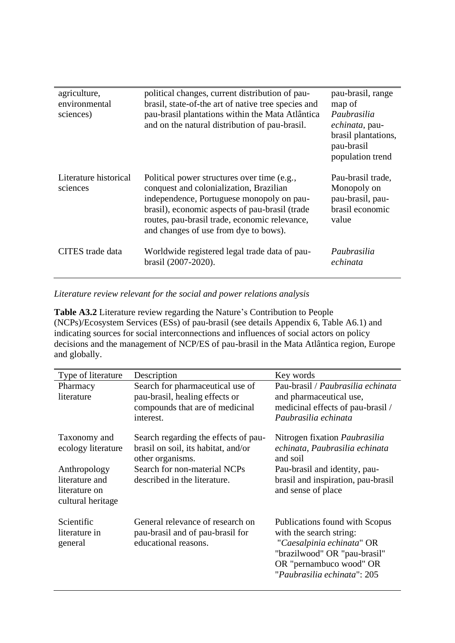| agriculture,<br>environmental<br>sciences) | political changes, current distribution of pau-<br>brasil, state-of-the art of native tree species and<br>pau-brasil plantations within the Mata Atlântica<br>and on the natural distribution of pau-brasil.                                                                    | pau-brasil, range<br>map of<br>Paubrasilia<br>echinata, pau-<br>brasil plantations,<br>pau-brasil<br>population trend |
|--------------------------------------------|---------------------------------------------------------------------------------------------------------------------------------------------------------------------------------------------------------------------------------------------------------------------------------|-----------------------------------------------------------------------------------------------------------------------|
| Literature historical<br>sciences          | Political power structures over time (e.g.,<br>conquest and colonialization, Brazilian<br>independence, Portuguese monopoly on pau-<br>brasil), economic aspects of pau-brasil (trade<br>routes, pau-brasil trade, economic relevance,<br>and changes of use from dye to bows). | Pau-brasil trade,<br>Monopoly on<br>pau-brasil, pau-<br>brasil economic<br>value                                      |
| CITES trade data                           | Worldwide registered legal trade data of pau-<br>brasil (2007-2020).                                                                                                                                                                                                            | Paubrasilia<br>echinata                                                                                               |

## *Literature review relevant for the social and power relations analysis*

**Table A3.2** Literature review regarding the Nature's Contribution to People (NCPs)/Ecosystem Services (ESs) of pau-brasil (see details Appendix 6, Table A6.1) and indicating sources for social interconnections and influences of social actors on policy decisions and the management of NCP/ES of pau-brasil in the Mata Atlântica region, Europe and globally.

| Type of literature                                                   | Description                                                                                                                                                     | Key words                                                                                                                                                                        |
|----------------------------------------------------------------------|-----------------------------------------------------------------------------------------------------------------------------------------------------------------|----------------------------------------------------------------------------------------------------------------------------------------------------------------------------------|
| Pharmacy<br>literature                                               | Search for pharmaceutical use of<br>pau-brasil, healing effects or<br>compounds that are of medicinal<br>interest.                                              | Pau-brasil / Paubrasilia echinata<br>and pharmaceutical use,<br>medicinal effects of pau-brasil /<br>Paubrasilia echinata                                                        |
| Taxonomy and<br>ecology literature<br>Anthropology<br>literature and | Search regarding the effects of pau-<br>brasil on soil, its habitat, and/or<br>other organisms.<br>Search for non-material NCPs<br>described in the literature. | Nitrogen fixation <i>Paubrasilia</i><br>echinata, Paubrasilia echinata<br>and soil<br>Pau-brasil and identity, pau-<br>brasil and inspiration, pau-brasil                        |
| literature on<br>cultural heritage                                   |                                                                                                                                                                 | and sense of place                                                                                                                                                               |
| Scientific<br>literature in<br>general                               | General relevance of research on<br>pau-brasil and of pau-brasil for<br>educational reasons.                                                                    | Publications found with Scopus<br>with the search string:<br>"Caesalpinia echinata" OR<br>"brazilwood" OR "pau-brasil"<br>OR "pernambuco wood" OR<br>"Paubrasilia echinata": 205 |